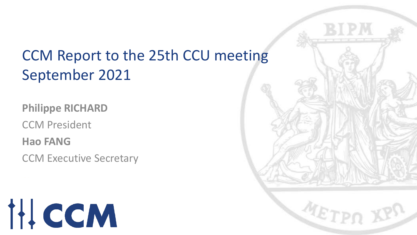# CCM Report to the 25th CCU meeting September 2021

**Philippe RICHARD**

CCM President

**Hao FANG**

CCM Executive Secretary



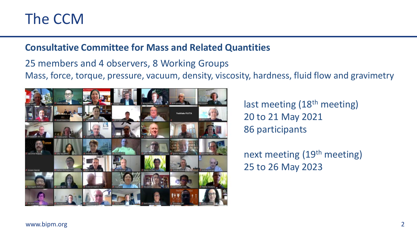## The CCM

#### **Consultative Committee for Mass and Related Quantities**

25 members and 4 observers, 8 Working Groups Mass, force, torque, pressure, vacuum, density, viscosity, hardness, fluid flow and gravimetry



last meeting (18<sup>th</sup> meeting) 20 to 21 May 2021 86 participants

next meeting (19th meeting) 25 to 26 May 2023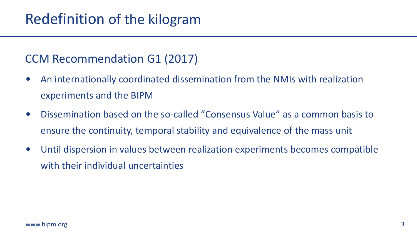#### CCM Recommendation G1 (2017)

- An internationally coordinated dissemination from the NMIs with realization experiments and the BIPM
- Dissemination based on the so-called "Consensus Value" as a common basis to ensure the continuity, temporal stability and equivalence of the mass unit
- Until dispersion in values between realization experiments becomes compatible with their individual uncertainties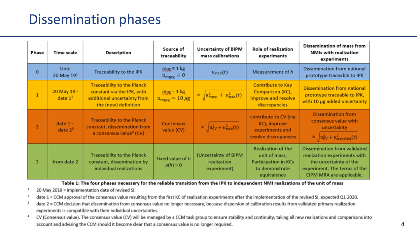## Dissemination phases

| Phase          | <b>Time scale</b>            | Description                                                                                                            | Source of<br>traceability                                      | <b>Uncertainty of BIPM</b><br>mass calibrations           | Role of realization<br>experiments                                                                         | Dissemination of mass from<br>NMIs with realization<br>experiments                                                                                 |
|----------------|------------------------------|------------------------------------------------------------------------------------------------------------------------|----------------------------------------------------------------|-----------------------------------------------------------|------------------------------------------------------------------------------------------------------------|----------------------------------------------------------------------------------------------------------------------------------------------------|
| $\mathbf{0}$   | <b>Until</b><br>20 May $191$ | <b>Traceability to the IPK</b>                                                                                         | $m_{\text{IRK}} \equiv 1 \text{ kg}$<br>$u_{m_{IPK}} \equiv 0$ | $u_{\text{stab}}(t)$                                      | Measurement of h                                                                                           | Dissemination from national<br>prototype traceable to IPK                                                                                          |
|                | 20 May 19 -<br>date $12$     | <b>Traceability to the Planck</b><br>constant via the IPK, with<br>additional uncertainty from<br>the (new) definition | $m_{\text{IPK}} = 1$ kg<br>$u_{m_{\rm IPK}} = 10 \mu g$        | $\approx \sqrt{u_{\text{mipk}}^2 + u_{\text{stab}}^2(t)}$ | <b>Contribute to Key</b><br>Comparison (KC),<br>improve and resolve<br>discrepancies                       | <b>Dissemination from national</b><br>prototype traceable to IPK,<br>with 10 µg added uncertainty                                                  |
| $\overline{2}$ | date $1 -$<br>date $2^3$     | <b>Traceability to the Planck</b><br>constant, dissemination from<br>a consensus value <sup>4</sup> (CV)               | <b>Consensus</b><br>value (CV)                                 | $\approx \sqrt{u_{\text{CV}}^2 + u_{\text{stab}}^2(t)}$   | contribute to CV (via<br>KC), improve<br>experiments and<br>resolve discrepancies                          | <b>Dissemination from</b><br>consensus value with<br>uncertainty<br>$\approx \sqrt{u_{\text{CV}}^2 + u_{\text{stab,NMI}}^2(t)}$                    |
| 3              | from date 2                  | <b>Traceability to the Planck</b><br>constant, dissemination by<br>individual realizations                             | Fixed value of h<br>$u(h) \equiv 0$                            | (Uncertainty of BIPM<br>realization<br>experiment)        | <b>Realization of the</b><br>unit of mass,<br><b>Participation in KCs</b><br>to demonstrate<br>equivalence | Dissemination from validated<br>realization experiments with<br>the uncertainty of the<br>experiment. The terms of the<br>CIPM MRA are applicable. |

Table 1: The four phases necessary for the reliable transition from the IPK to independent NMI realizations of the unit of mass

20 May 2019 = implementation date of revised SI.

date 1 = CCM approval of the consensus value resulting from the first KC of realization experiments after the implementation of the revised SI, expected Q1 2020.

- date 2 = CCM decision that dissemination from consensus value no longer necessary, because dispersion of calibration results from validated primary realization experiments is compatible with their individual uncertainties.
- 4 CV (Consensus value). The consensus value (CV) will be managed by a CCM task group to ensure stability and continuity, taking all new realizations and comparisons into account and advising the CCM should it become clear that a consensus value is no longer required. 4 and the state of the state of the state of  $4$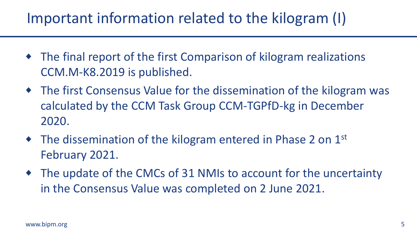## Important information related to the kilogram (I)

- The final report of the first Comparison of kilogram realizations CCM.M-K8.2019 is published.
- The first Consensus Value for the dissemination of the kilogram was calculated by the CCM Task Group CCM-TGPfD-kg in December 2020.
- $\bullet$  The dissemination of the kilogram entered in Phase 2 on 1st February 2021.
- The update of the CMCs of 31 NMIs to account for the uncertainty in the Consensus Value was completed on 2 June 2021.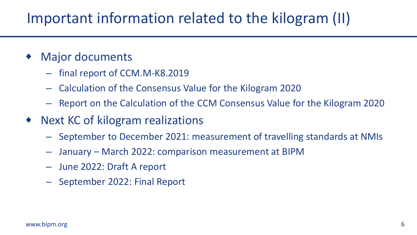## Important information related to the kilogram (II)

- Major documents
	- final report of CCM.M-K8.2019
	- Calculation of the Consensus Value for the Kilogram 2020
	- Report on the Calculation of the CCM Consensus Value for the Kilogram 2020
- ◆ Next KC of kilogram realizations
	- September to December 2021: measurement of travelling standards at NMIs
	- January March 2022: comparison measurement at BIPM
	- June 2022: Draft A report
	- September 2022: Final Report